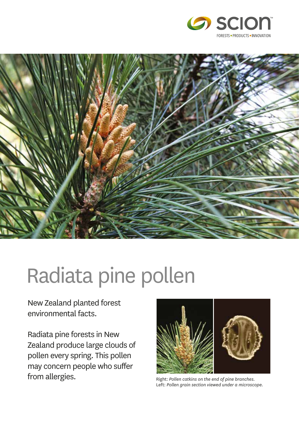



# Radiata pine pollen

New Zealand planted forest environmental facts.

Radiata pine forests in New Zealand produce large clouds of pollen every spring. This pollen may concern people who suffer from allergies. The end of pine branches.



Left: *Pollen grain section viewed under a microscope.*